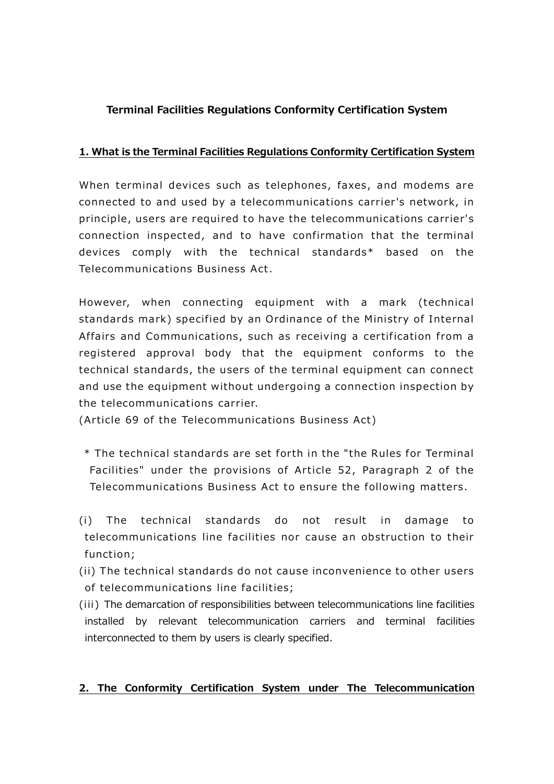# **Terminal Facilities Regulations Conformity Certification System**

### **1. What is the Terminal Facilities Regulations Conformity Certification System**

When terminal devices such as telephones, faxes, and modems are connected to and used by a telecommunications carrier's network, in principle, users are required to have the telecommunications carrier's connection inspected, and to have confirmation that the terminal devices comply with the technical standards\* based on the Telecommunications Business Act.

However, when connecting equipment with a mark (technical standards mark) specified by an Ordinance of the Ministry of Internal Affairs and Communications, such as receiving a certification from a registered approval body that the equipment conforms to the technical standards, the users of the terminal equipment can connect and use the equipment without undergoing a connection inspection by the telecommunications carrier.

(Article 69 of the Telecommunications Business Act)

- \* The technical standards are set forth in the "the Rules for Terminal Facilities" under the provisions of Article 52, Paragraph 2 of the Telecommunications Business Act to ensure the following matters.
- (i) The technical standards do not result in damage to telecommunications line facilities nor cause an obstruction to their function;
- (ii) The technical standards do not cause inconvenience to other users of telecommunications line facilities;
- (iii) The demarcation of responsibilities between telecommunications line facilities installed by relevant telecommunication carriers and terminal facilities interconnected to them by users is clearly specified.

### **2. The Conformity Certification System under The Telecommunication**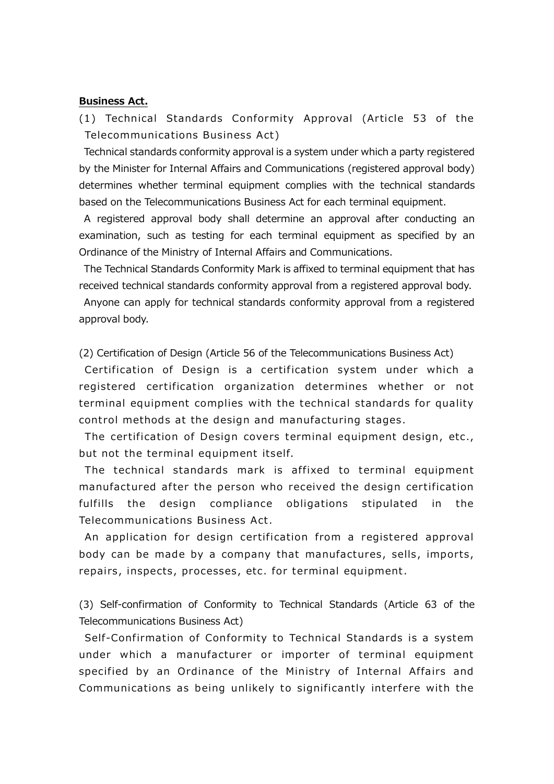#### **Business Act.**

(1) Technical Standards Conformity Approval (Article 53 of the Telecommunications Business Act)

Technical standards conformity approval is a system under which a party registered by the Minister for Internal Affairs and Communications (registered approval body) determines whether terminal equipment complies with the technical standards based on the Telecommunications Business Act for each terminal equipment.

A registered approval body shall determine an approval after conducting an examination, such as testing for each terminal equipment as specified by an Ordinance of the Ministry of Internal Affairs and Communications.

The Technical Standards Conformity Mark is affixed to terminal equipment that has received technical standards conformity approval from a registered approval body.

Anyone can apply for technical standards conformity approval from a registered approval body.

(2) Certification of Design (Article 56 of the Telecommunications Business Act)

Certification of Design is a certification system under which a registered certification organization determines whether or not terminal equipment complies with the technical standards for quality control methods at the design and manufacturing stages.

The certification of Design covers terminal equipment design, etc., but not the terminal equipment itself.

The technical standards mark is affixed to terminal equipment manufactured after the person who received the design certification fulfills the design compliance obligations stipulated in the Telecommunications Business Act.

An application for design certification from a registered approval body can be made by a company that manufactures, sells, imports, repairs, inspects, processes, etc. for terminal equipment.

(3) Self-confirmation of Conformity to Technical Standards (Article 63 of the Telecommunications Business Act)

Self-Confirmation of Conformity to Technical Standards is a system under which a manufacturer or importer of terminal equipment specified by an Ordinance of the Ministry of Internal Affairs and Communications as being unlikely to significantly interfere with the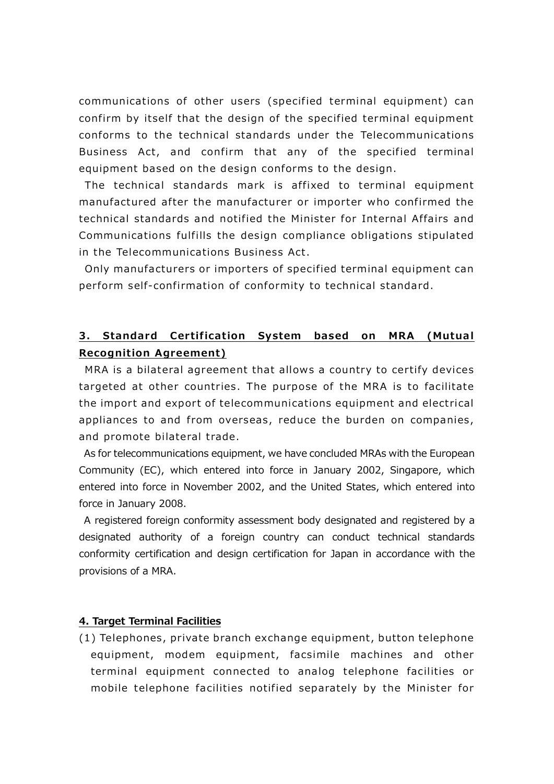communications of other users (specified terminal equipment) can confirm by itself that the design of the specified terminal equipment conforms to the technical standards under the Telecommunications Business Act, and confirm that any of the specified terminal equipment based on the design conforms to the design.

The technical standards mark is affixed to terminal equipment manufactured after the manufacturer or importer who confirmed the technical standards and notified the Minister for Internal Affairs and Communications fulfills the design compliance obligations stipulated in the Telecommunications Business Act.

Only manufacturers or importers of specified terminal equipment can perform self-confirmation of conformity to technical standard.

## **3. Standard Certification System based on MRA (Mutual Recognition Agreement)**

MRA is a bilateral agreement that allows a country to certify devices targeted at other countries. The purpose of the MRA is to facilitate the import and export of telecommunications equipment and electrical appliances to and from overseas, reduce the burden on companies, and promote bilateral trade.

As for telecommunications equipment, we have concluded MRAs with the European Community (EC), which entered into force in January 2002, Singapore, which entered into force in November 2002, and the United States, which entered into force in January 2008.

A registered foreign conformity assessment body designated and registered by a designated authority of a foreign country can conduct technical standards conformity certification and design certification for Japan in accordance with the provisions of a MRA.

#### **4. Target Terminal Facilities**

(1) Telephones, private branch exchange equipment, button telephone equipment, modem equipment, facsimile machines and other terminal equipment connected to analog telephone facilities or mobile telephone facilities notified separately by the Minister for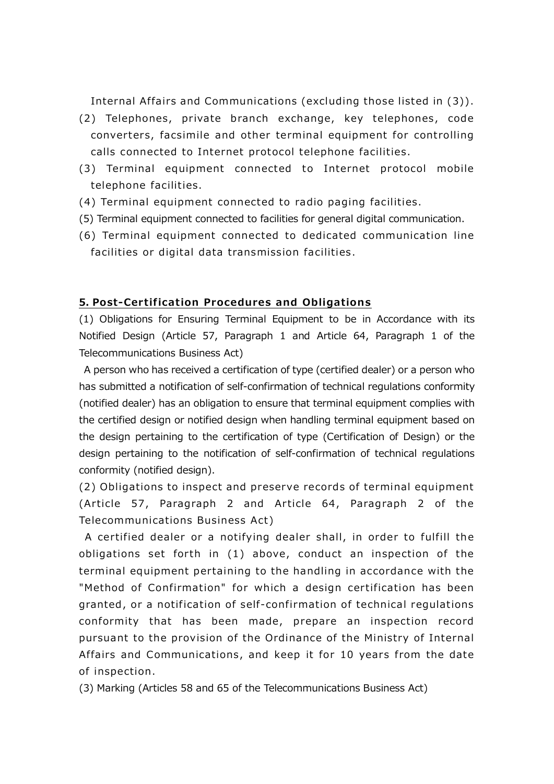Internal Affairs and Communications (excluding those listed in (3)).

- (2) Telephones, private branch exchange, key telephones, code converters, facsimile and other terminal equipment for controlling calls connected to Internet protocol telephone facilities.
- (3) Terminal equipment connected to Internet protocol mobile telephone facilities.
- (4) Terminal equipment connected to radio paging facilities.
- (5) Terminal equipment connected to facilities for general digital communication.
- (6) Terminal equipment connected to dedicated communication line facilities or digital data transmission facilities.

#### **5. Post-Certification Procedures and Obligations**

(1) Obligations for Ensuring Terminal Equipment to be in Accordance with its Notified Design (Article 57, Paragraph 1 and Article 64, Paragraph 1 of the Telecommunications Business Act)

A person who has received a certification of type (certified dealer) or a person who has submitted a notification of self-confirmation of technical regulations conformity (notified dealer) has an obligation to ensure that terminal equipment complies with the certified design or notified design when handling terminal equipment based on the design pertaining to the certification of type (Certification of Design) or the design pertaining to the notification of self-confirmation of technical regulations conformity (notified design).

(2) Obligations to inspect and preserve records of terminal equipment (Article 57, Paragraph 2 and Article 64, Paragraph 2 of the Tele communications Business Act)

A certified dealer or a notifying dealer shall, in order to fulfill the obligations set forth in (1) above, conduct an inspection of the terminal equipment pertaining to the handling in accordance with the "Method of Confirmation" for which a design certification has been granted, or a notification of self-confirmation of technical regulations conformity that has been made, prepare an inspection record pursuant to the provision of the Ordinance of the Ministry of Internal Affairs and Communications, and keep it for 10 years from the date of inspection.

(3) Marking (Articles 58 and 65 of the Telecommunications Business Act)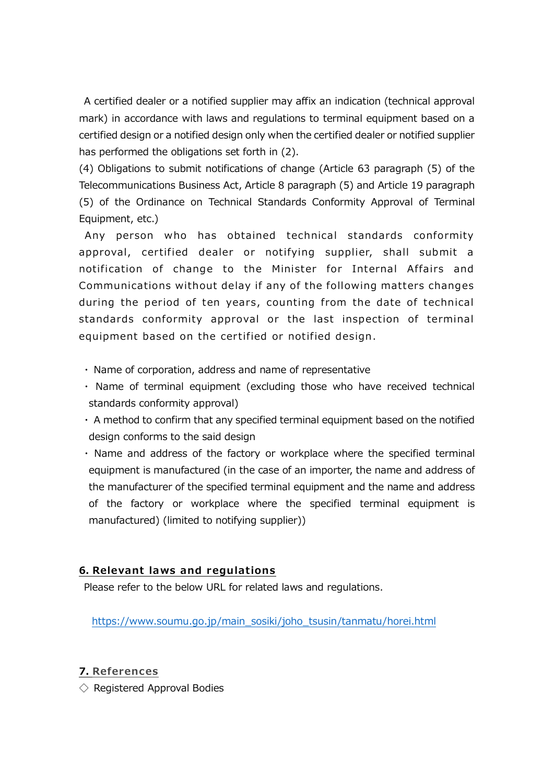A certified dealer or a notified supplier may affix an indication (technical approval mark) in accordance with laws and regulations to terminal equipment based on a certified design or a notified design only when the certified dealer or notified supplier has performed the obligations set forth in (2).

(4) Obligations to submit notifications of change (Article 63 paragraph (5) of the Telecommunications Business Act, Article 8 paragraph (5) and Article 19 paragraph (5) of the Ordinance on Technical Standards Conformity Approval of Terminal Equipment, etc.)

Any person who has obtained technical standards conformity approval, certified dealer or notifying supplier, shall submit a notification of change to the Minister for Internal Affairs and Communications without delay if any of the following matters changes during the period of ten years, counting from the date of technical standards conformity approval or the last inspection of terminal equipment based on the certified or notified design.

- ・ Name of corporation, address and name of representative
- ・ Name of terminal equipment (excluding those who have received technical standards conformity approval)
- ・ A method to confirm that any specified terminal equipment based on the notified design conforms to the said design
- ・ Name and address of the factory or workplace where the specified terminal equipment is manufactured (in the case of an importer, the name and address of the manufacturer of the specified terminal equipment and the name and address of the factory or workplace where the specified terminal equipment is manufactured) (limited to notifying supplier))

### **6. Relevant laws and regulations**

Please refer to the below URL for related laws and regulations.

[https://www.soumu.go.jp/main\\_sosiki/joho\\_tsusin/tanmatu/horei.html](https://www.soumu.go.jp/main_sosiki/joho_tsusin/tanmatu/horei.html)

### **7. References**

 $\Diamond$  Registered Approval Bodies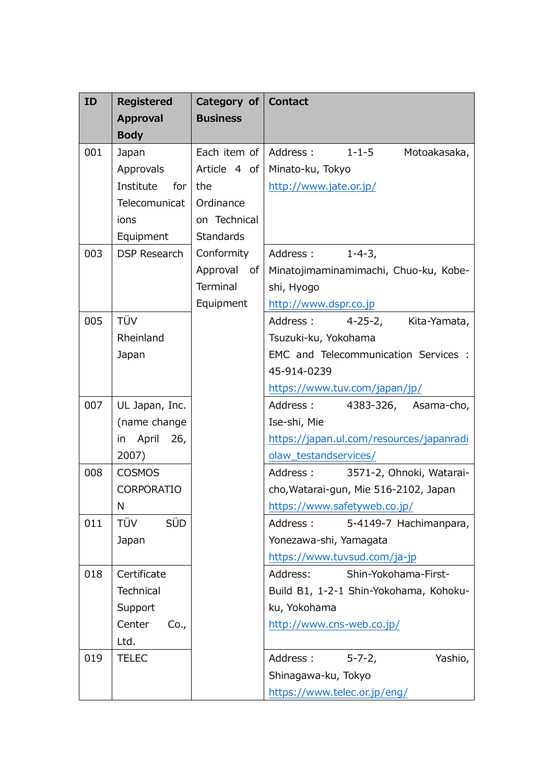| ID  | <b>Registered</b>   | Category of Contact      |                                          |
|-----|---------------------|--------------------------|------------------------------------------|
|     | <b>Approval</b>     | <b>Business</b>          |                                          |
|     | <b>Body</b>         |                          |                                          |
| 001 | Japan               | Each item of   Address : | $1 - 1 - 5$<br>Motoakasaka,              |
|     | Approvals           | Article 4 of             | Minato-ku, Tokyo                         |
|     | Institute for       | the                      | http://www.jate.or.jp/                   |
|     | Telecomunicat       | Ordinance                |                                          |
|     | ions                | on Technical             |                                          |
|     | Equipment           | <b>Standards</b>         |                                          |
| 003 | <b>DSP Research</b> | Conformity               | $1 - 4 - 3$ ,<br>Address:                |
|     |                     | Approval of              | Minatojimaminamimachi, Chuo-ku, Kobe-    |
|     |                     | Terminal                 | shi, Hyogo                               |
|     |                     | Equipment                | http://www.dspr.co.jp                    |
| 005 | TÜV                 |                          | Address:<br>4-25-2, Kita-Yamata,         |
|     | Rheinland           |                          | Tsuzuki-ku, Yokohama                     |
|     | Japan               |                          | EMC and Telecommunication Services :     |
|     |                     |                          | 45-914-0239                              |
|     |                     |                          | https://www.tuv.com/japan/jp/            |
| 007 | UL Japan, Inc.      |                          | Address:<br>4383-326, Asama-cho,         |
|     | (name change        |                          | Ise-shi, Mie                             |
|     | in April<br>26,     |                          | https://japan.ul.com/resources/japanradi |
|     | 2007)               |                          | olaw_testandservices/                    |
| 008 | <b>COSMOS</b>       |                          | Address:<br>3571-2, Ohnoki, Watarai-     |
|     | CORPORATIO          |                          | cho, Watarai-gun, Mie 516-2102, Japan    |
|     | Ν                   |                          | https://www.safetyweb.co.jp/             |
| 011 | <b>SÜD</b><br>TÜV   |                          | Address: 5-4149-7 Hachimanpara,          |
|     | Japan               |                          | Yonezawa-shi, Yamagata                   |
|     |                     |                          | https://www.tuvsud.com/ja-jp             |
| 018 | Certificate         |                          | Address:<br>Shin-Yokohama-First-         |
|     | Technical           |                          | Build B1, 1-2-1 Shin-Yokohama, Kohoku-   |
|     | Support             |                          | ku, Yokohama                             |
|     | Center<br>Co.,      |                          | http://www.cns-web.co.jp/                |
|     | Ltd.                |                          |                                          |
| 019 | <b>TELEC</b>        |                          | Address: 5-7-2,<br>Yashio,               |
|     |                     |                          | Shinagawa-ku, Tokyo                      |
|     |                     |                          | https://www.telec.or.jp/eng/             |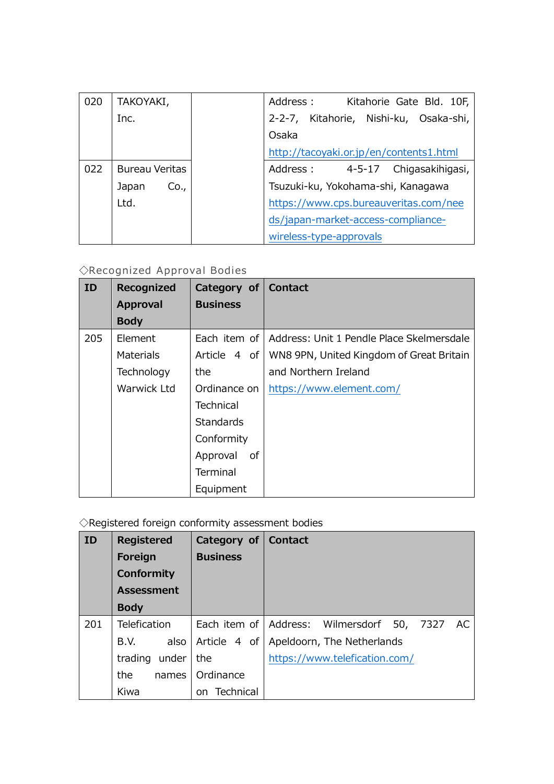| 020 | TAKOYAKI,      | Address : Kitahorie Gate Bld. 10F,      |
|-----|----------------|-----------------------------------------|
|     | Inc.           | 2-2-7, Kitahorie, Nishi-ku, Osaka-shi,  |
|     |                | Osaka                                   |
|     |                | http://tacoyaki.or.jp/en/contents1.html |
| 022 | Bureau Veritas | Address: 4-5-17 Chigasakihigasi,        |
|     | Co.,<br>Japan  | Tsuzuki-ku, Yokohama-shi, Kanagawa      |
|     | Ltd.           | https://www.cps.bureauveritas.com/nee   |
|     |                | ds/japan-market-access-compliance-      |
|     |                | wireless-type-approvals                 |

# ◇Recognized Approval Bodies

| ID  | Recognized       | Category of   Contact |                                                          |
|-----|------------------|-----------------------|----------------------------------------------------------|
|     | <b>Approval</b>  | <b>Business</b>       |                                                          |
|     | <b>Body</b>      |                       |                                                          |
| 205 | Element          |                       | Each item of   Address: Unit 1 Pendle Place Skelmersdale |
|     | <b>Materials</b> |                       | Article 4 of   WN8 9PN, United Kingdom of Great Britain  |
|     | Technology       | the                   | and Northern Ireland                                     |
|     | Warwick Ltd      | Ordinance on          | https://www.element.com/                                 |
|     |                  | <b>Technical</b>      |                                                          |
|     |                  | Standards             |                                                          |
|     |                  | Conformity            |                                                          |
|     |                  | Approval<br>of        |                                                          |
|     |                  | Terminal              |                                                          |
|     |                  | Equipment             |                                                          |

# $\diamondsuit$ Registered foreign conformity assessment bodies

| <b>ID</b> | <b>Registered</b> | Category of   Contact |                                                  |
|-----------|-------------------|-----------------------|--------------------------------------------------|
|           | Foreign           | <b>Business</b>       |                                                  |
|           | <b>Conformity</b> |                       |                                                  |
|           | <b>Assessment</b> |                       |                                                  |
|           | <b>Body</b>       |                       |                                                  |
| 201       | Telefication      |                       | Each item of Address: Wilmersdorf 50,<br>7327 AC |
|           | also<br>B.V.      | Article 4 of          | Apeldoorn, The Netherlands                       |
|           | trading under     | the                   | https://www.telefication.com/                    |
|           | the.<br>names     | Ordinance             |                                                  |
|           | Kiwa              | on Technical          |                                                  |